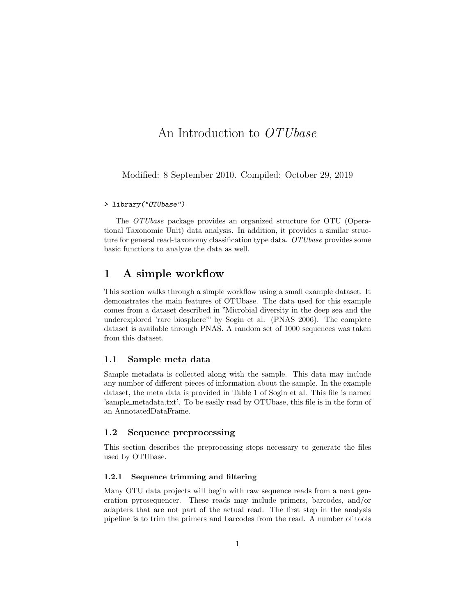# An Introduction to OTUbase

Modified: 8 September 2010. Compiled: October 29, 2019

#### > library("OTUbase")

The OTUbase package provides an organized structure for OTU (Operational Taxonomic Unit) data analysis. In addition, it provides a similar structure for general read-taxonomy classification type data. OTUbase provides some basic functions to analyze the data as well.

## 1 A simple workflow

This section walks through a simple workflow using a small example dataset. It demonstrates the main features of OTUbase. The data used for this example comes from a dataset described in "Microbial diversity in the deep sea and the underexplored 'rare biosphere'" by Sogin et al. (PNAS 2006). The complete dataset is available through PNAS. A random set of 1000 sequences was taken from this dataset.

#### 1.1 Sample meta data

Sample metadata is collected along with the sample. This data may include any number of different pieces of information about the sample. In the example dataset, the meta data is provided in Table 1 of Sogin et al. This file is named 'sample metadata.txt'. To be easily read by OTUbase, this file is in the form of an AnnotatedDataFrame.

### 1.2 Sequence preprocessing

This section describes the preprocessing steps necessary to generate the files used by OTUbase.

#### 1.2.1 Sequence trimming and filtering

Many OTU data projects will begin with raw sequence reads from a next generation pyrosequencer. These reads may include primers, barcodes, and/or adapters that are not part of the actual read. The first step in the analysis pipeline is to trim the primers and barcodes from the read. A number of tools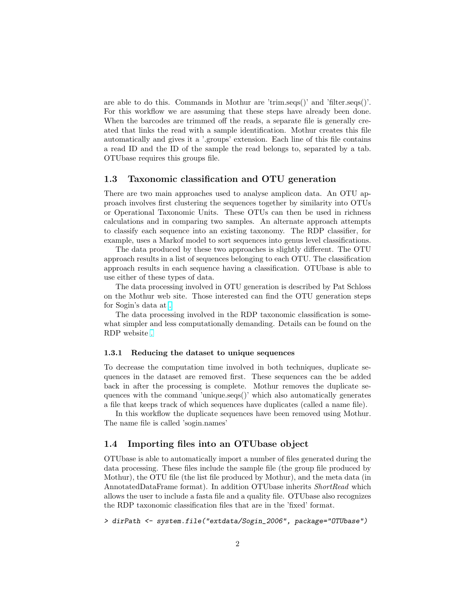are able to do this. Commands in Mothur are 'trim.seqs()' and 'filter.seqs()'. For this workflow we are assuming that these steps have already been done. When the barcodes are trimmed off the reads, a separate file is generally created that links the read with a sample identification. Mothur creates this file automatically and gives it a '.groups' extension. Each line of this file contains a read ID and the ID of the sample the read belongs to, separated by a tab. OTUbase requires this groups file.

### 1.3 Taxonomic classification and OTU generation

There are two main approaches used to analyse amplicon data. An OTU approach involves first clustering the sequences together by similarity into OTUs or Operational Taxonomic Units. These OTUs can then be used in richness calculations and in comparing two samples. An alternate approach attempts to classify each sequence into an existing taxonomy. The RDP classifier, for example, uses a Markof model to sort sequences into genus level classifications.

The data produced by these two approaches is slightly different. The OTU approach results in a list of sequences belonging to each OTU. The classification approach results in each sequence having a classification. OTUbase is able to use either of these types of data.

The data processing involved in OTU generation is described by Pat Schloss on the Mothur web site. Those interested can find the OTU generation steps for Sogin's data at [.](http://www.mothur.org/wiki/Sogin_data_analysis)

The data processing involved in the RDP taxonomic classification is somewhat simpler and less computationally demanding. Details can be found on the RDP website [.](http://rdp.cme.msu.edu/classifier/classifier.jsp)

#### 1.3.1 Reducing the dataset to unique sequences

To decrease the computation time involved in both techniques, duplicate sequences in the dataset are removed first. These sequences can the be added back in after the processing is complete. Mothur removes the duplicate sequences with the command 'unique.seqs()' which also automatically generates a file that keeps track of which sequences have duplicates (called a name file).

In this workflow the duplicate sequences have been removed using Mothur. The name file is called 'sogin.names'

#### 1.4 Importing files into an OTUbase object

OTUbase is able to automatically import a number of files generated during the data processing. These files include the sample file (the group file produced by Mothur), the OTU file (the list file produced by Mothur), and the meta data (in AnnotatedDataFrame format). In addition OTUbase inherits ShortRead which allows the user to include a fasta file and a quality file. OTUbase also recognizes the RDP taxonomic classification files that are in the 'fixed' format.

> dirPath <- system.file("extdata/Sogin\_2006", package="OTUbase")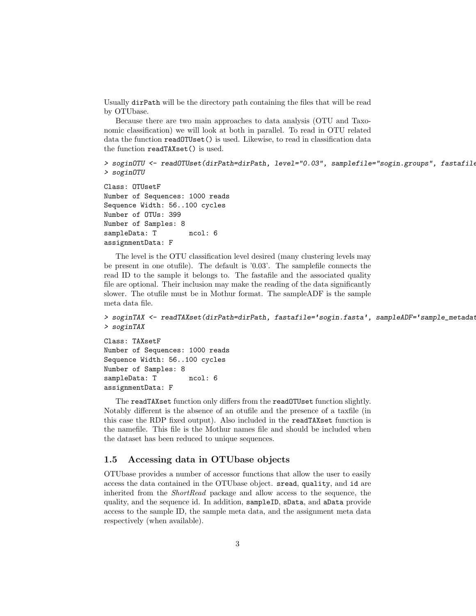Usually dirPath will be the directory path containing the files that will be read by OTUbase.

Because there are two main approaches to data analysis (OTU and Taxonomic classification) we will look at both in parallel. To read in OTU related data the function readOTUset() is used. Likewise, to read in classification data the function readTAXset() is used.

```
> soginOTU <- readOTUset(dirPath=dirPath, level="0.03", samplefile="sogin.groups", fastafile
> soginOTU
```
Class: OTUsetF Number of Sequences: 1000 reads Sequence Width: 56..100 cycles Number of OTUs: 399 Number of Samples: 8 sampleData: T ncol: 6 assignmentData: F

The level is the OTU classification level desired (many clustering levels may be present in one otufile). The default is '0.03'. The samplefile connects the read ID to the sample it belongs to. The fastafile and the associated quality file are optional. Their inclusion may make the reading of the data significantly slower. The otufile must be in Mothur format. The sampleADF is the sample meta data file.

```
> soginTAX <- readTAXset(dirPath=dirPath, fastafile='sogin.fasta', sampleADF='sample_metadat
> soginTAX
```
Class: TAXsetF Number of Sequences: 1000 reads Sequence Width: 56..100 cycles Number of Samples: 8 sampleData: T ncol: 6 assignmentData: F

The readTAXset function only differs from the readOTUset function slightly. Notably different is the absence of an otufile and the presence of a taxfile (in this case the RDP fixed output). Also included in the readTAXset function is the namefile. This file is the Mothur names file and should be included when the dataset has been reduced to unique sequences.

#### 1.5 Accessing data in OTUbase objects

OTUbase provides a number of accessor functions that allow the user to easily access the data contained in the OTUbase object. sread, quality, and id are inherited from the ShortRead package and allow access to the sequence, the quality, and the sequence id. In addition, sampleID, sData, and aData provide access to the sample ID, the sample meta data, and the assignment meta data respectively (when available).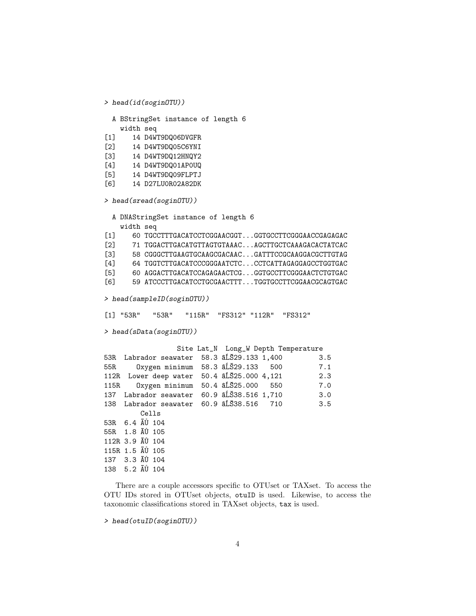```
A BStringSet instance of length 6
   width seq
[1] 14 D4WT9DQ06DVGFR
[2] 14 D4WT9DQ05C6YNI
[3] 14 D4WT9DQ12HNQY2
[4] 14 D4WT9DQ01AP0UQ
[5] 14 D4WT9DQ09FLPTJ
[6] 14 D27LU0R02A82DK
> head(sread(soginOTU))
 A DNAStringSet instance of length 6
    width seq
[1] 60 TGCCTTTGACATCCTCGGAACGGT...GGTGCCTTCGGGAACCGAGAGAC
[2] 71 TGGACTTGACATGTTAGTGTAAAC...AGCTTGCTCAAAGACACTATCAC
[3] 58 CGGGCTTGAAGTGCAAGCGACAAC...GATTTCCGCAAGGACGCTTGTAG
[4] 64 TGGTCTTGACATCCCGGGAATCTC...CCTCATTAGAGGAGCCTGGTGAC
[5] 60 AGGACTTGACATCCAGAGAACTCG...GGTGCCTTCGGGAACTCTGTGAC
[6] 59 ATCCCTTGACATCCTGCGAACTTT...TGGTGCCTTCGGAACGCAGTGAC
> head(sampleID(soginOTU))
[1] "53R" "53R" "115R" "FS312" "112R" "FS312"
> head(sData(soginOTU))
                 Site Lat_N Long_W Depth Temperature
53R Labrador seawater 58.3 \tilde{a}L<sup>529.133</sup> 1,400 3.5
55R Oxygen minimum 58.3 âL�M 329.133 500 7.1
112R Lower deep water 50.4 âL\tilde{S}25.000 4,121 2.3
115R Oxygen minimum 50.4 âL\tilde{S}25.000 550 7.0
137 Labrador seawater 60.9 âLÑS38.516 1,710 3.0
138 Labrador seawater 60.9 âL	Š38.516 710 3.5
        Cells
53R 6.4 A Ú 104
55R 1.8 A Ú 105
112R 3.9 AU 104
115R 1.5 AU 105
137 3.3 AU 104
138 5.2 \tilde{A}Ů 104
```
There are a couple accessors specific to OTUset or TAXset. To access the OTU IDs stored in OTUset objects, otuID is used. Likewise, to access the taxonomic classifications stored in TAXset objects, tax is used.

```
> head(otuID(soginOTU))
```
> head(id(soginOTU))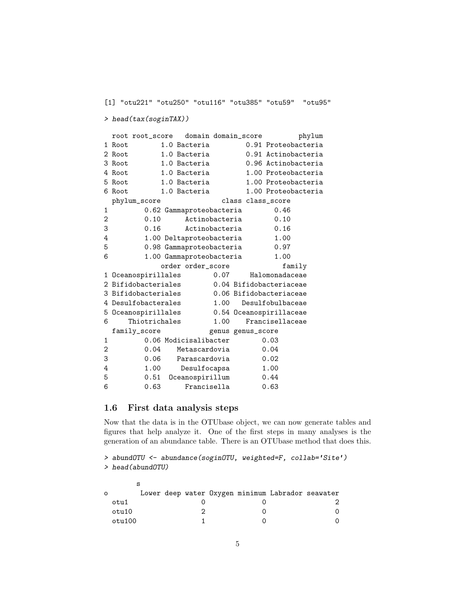```
[1] "otu221" "otu250" "otu116" "otu385" "otu59" "otu95"
> head(tax(soginTAX))
 root root_score domain domain_score phylum
1 Root 1.0 Bacteria 0.91 Proteobacteria
2 Root 1.0 Bacteria 0.91 Actinobacteria
3 Root 1.0 Bacteria 0.96 Actinobacteria
4 Root 1.0 Bacteria 1.00 Proteobacteria
5 Root 1.0 Bacteria 1.00 Proteobacteria
6 Root 1.0 Bacteria 1.00 Proteobacteria
 phylum_score class class_score
1 0.62 Gammaproteobacteria 0.46
2 0.10 Actinobacteria 0.10
3 0.16 Actinobacteria 0.16
4 1.00 Deltaproteobacteria 1.00
5 0.98 Gammaproteobacteria 0.97
6 1.00 Gammaproteobacteria 1.00
          order order_score family
1 Oceanospirillales 0.07 Halomonadaceae
2 Bifidobacteriales 0.04 Bifidobacteriaceae
3 Bifidobacteriales 0.06 Bifidobacteriaceae
4 Desulfobacterales 1.00 Desulfobulbaceae
5 Oceanospirillales 0.54 Oceanospirillaceae
6 Thiotrichales 1.00 Francisellaceae
 family_score genus genus_score
1 0.06 Modicisalibacter 0.03
2 0.04 Metascardovia 0.04
3 0.06 Parascardovia 0.02
4 1.00 Desulfocapsa 1.00
5 0.51 Oceanospirillum 0.44
6 0.63 Francisella 0.63
```
### 1.6 First data analysis steps

Now that the data is in the OTUbase object, we can now generate tables and figures that help analyze it. One of the first steps in many analyses is the generation of an abundance table. There is an OTUbase method that does this.

```
> abundOTU <- abundance(soginOTU, weighted=F, collab='Site')
> head(abundOTU)
```

| $\circ$ |        |  |  | Lower deep water Oxygen minimum Labrador seawater |  |
|---------|--------|--|--|---------------------------------------------------|--|
|         | otu1   |  |  |                                                   |  |
|         | otu10  |  |  |                                                   |  |
|         | otu100 |  |  |                                                   |  |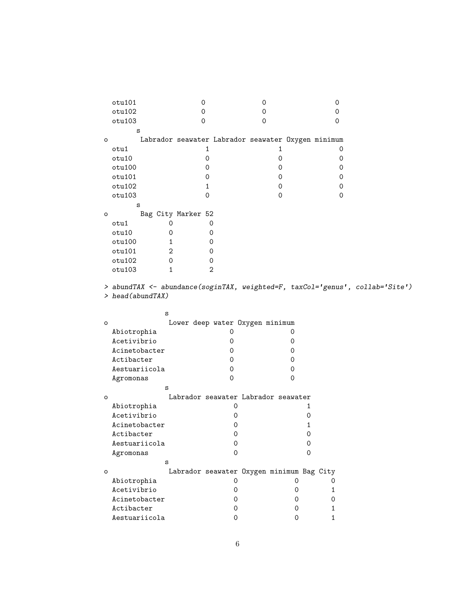|         | otu101                      | 0                                                  | 0            |        | 0        |  |
|---------|-----------------------------|----------------------------------------------------|--------------|--------|----------|--|
|         | otu102                      | 0                                                  | 0            |        | 0        |  |
|         | otu103                      | 0                                                  | 0            |        | 0        |  |
|         | S                           |                                                    |              |        |          |  |
| $\circ$ |                             | Labrador seawater Labrador seawater Oxygen minimum |              |        |          |  |
|         | otu1                        | 1                                                  | $\mathbf{1}$ |        | 0        |  |
|         | otu10                       | 0                                                  | 0            |        | 0        |  |
|         | otu100                      | 0                                                  | 0            |        | 0        |  |
|         | otu101                      | 0                                                  | 0            |        | 0        |  |
|         | otu102                      | 1                                                  | 0            |        | 0        |  |
|         | otu103                      | 0                                                  | 0            |        | $\Omega$ |  |
|         | S                           |                                                    |              |        |          |  |
| o       |                             | Bag City Marker 52                                 |              |        |          |  |
|         | otu1<br>0                   | 0                                                  |              |        |          |  |
|         | otu10<br>0                  | 0                                                  |              |        |          |  |
|         | otu100<br>$\mathbf{1}$      | 0                                                  |              |        |          |  |
|         | $\overline{2}$<br>otu101    | 0                                                  |              |        |          |  |
|         | otu102<br>0                 | 0                                                  |              |        |          |  |
|         | otu103<br>$\mathbf{1}$      | $\overline{2}$                                     |              |        |          |  |
| $\circ$ | S                           |                                                    |              |        |          |  |
|         |                             | Lower deep water Oxygen minimum                    |              |        |          |  |
|         | Abiotrophia                 | 0                                                  |              | 0      |          |  |
|         | Acetivibrio                 | 0                                                  |              | 0      |          |  |
|         | Acinetobacter               | 0                                                  |              | 0      |          |  |
|         | Actibacter<br>Aestuariicola | 0                                                  |              | 0      |          |  |
|         | Agromonas                   | 0<br>0                                             |              | 0<br>0 |          |  |
|         | S                           |                                                    |              |        |          |  |
| $\circ$ |                             | Labrador seawater Labrador seawater                |              |        |          |  |
|         | Abiotrophia                 | 0                                                  |              | 1      |          |  |
|         | Acetivibrio                 | 0                                                  |              | 0      |          |  |
|         | Acinetobacter               | 0                                                  |              | 1      |          |  |
|         | Actibacter                  | 0                                                  |              | 0      |          |  |
|         | Aestuariicola               | 0                                                  |              | 0      |          |  |
|         | Agromonas                   | 0                                                  |              | 0      |          |  |
|         | S                           |                                                    |              |        |          |  |
| $\circ$ |                             | Labrador seawater Oxygen minimum Bag City          |              |        |          |  |
|         | ${\tt Abiotrophia}$         | 0                                                  |              | 0      | 0        |  |
|         | Acetivibrio                 | 0                                                  |              | 0      | 1        |  |
|         | Acinetobacter               | 0                                                  |              | 0      | 0        |  |
|         |                             |                                                    |              |        |          |  |
|         | Actibacter<br>Aestuariicola | 0<br>0                                             |              | 0<br>0 | 1<br>1   |  |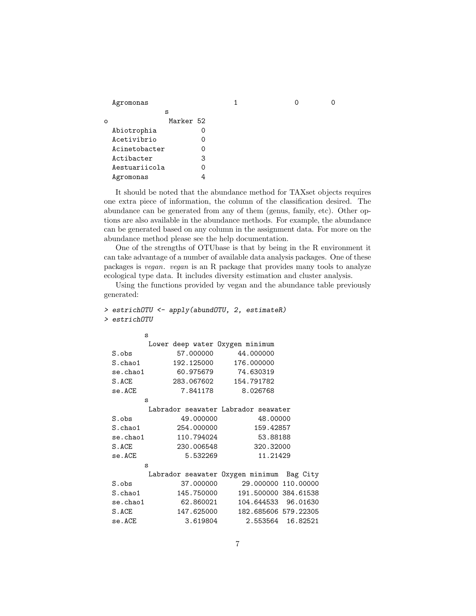| Agromonas |  |  |  |
|-----------|--|--|--|
|-----------|--|--|--|

| ი |               | Marker 52 |   |
|---|---------------|-----------|---|
|   | Abiotrophia   |           |   |
|   | Acetivibrio   |           |   |
|   | Acinetobacter |           | 0 |
|   | Actibacter    |           | 3 |
|   | Aestuariicola |           | Ω |
|   | Agromonas     |           |   |

s

It should be noted that the abundance method for TAXset objects requires one extra piece of information, the column of the classification desired. The abundance can be generated from any of them (genus, family, etc). Other options are also available in the abundance methods. For example, the abundance can be generated based on any column in the assignment data. For more on the abundance method please see the help documentation.

One of the strengths of OTUbase is that by being in the R environment it can take advantage of a number of available data analysis packages. One of these packages is vegan. vegan is an R package that provides many tools to analyze ecological type data. It includes diversity estimation and cluster analysis.

Using the functions provided by vegan and the abundance table previously generated:

```
> estrichOTU <- apply(abundOTU, 2, estimateR)
> estrichOTU
       s
        Lower deep water Oxygen minimum
 S.obs 57.000000 44.000000
 S.chao1 192.125000 176.000000
 se.chao1 60.975679 74.630319
 S.ACE 283.067602 154.791782
 se.ACE 7.841178 8.026768
       s
        Labrador seawater Labrador seawater
 S.obs 49.000000 48.00000
 S.chao1 254.000000 159.42857
 se.chao1 110.794024 53.88188
 S.ACE 230.006548 320.32000
 se.ACE 5.532269 11.21429
       s
        Labrador seawater Oxygen minimum Bag City
 S.obs 37.000000 29.000000 110.00000
 S.chao1 145.750000 191.500000 384.61538
 se.chao1 62.860021 104.644533 96.01630
 S.ACE 147.625000 182.685606 579.22305
 se.ACE 3.619804 2.553564 16.82521
```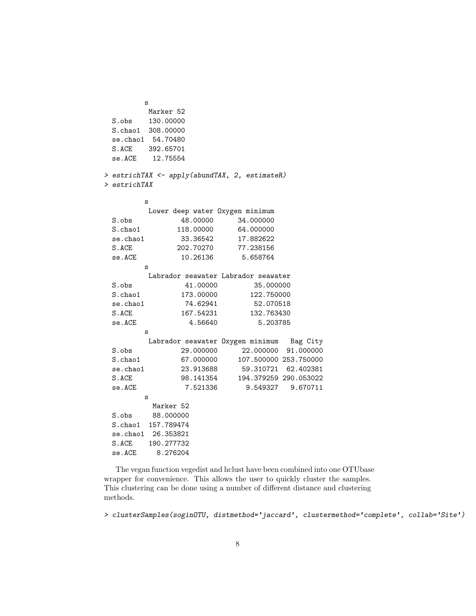s Marker 52 S.obs 130.00000 S.chao1 308.00000 se.chao1 54.70480 S.ACE 392.65701 se.ACE 12.75554 > estrichTAX <- apply(abundTAX, 2, estimateR) > estrichTAX s Lower deep water Oxygen minimum S.obs 48.00000 34.000000 S.chao1 118.00000 64.000000 se.chao1 33.36542 17.882622 S.ACE 202.70270 77.238156 se.ACE 10.26136 5.658764 s Labrador seawater Labrador seawater S.obs 41.00000 35.000000 S.chao1 173.00000 122.750000 se.chao1 74.62941 52.070518 S.ACE 167.54231 132.763430 se.ACE 4.56640 5.203785 s Labrador seawater Oxygen minimum Bag City S.obs 29.000000 22.000000 91.000000 S.chao1 67.000000 107.500000 253.750000 se.chao1 23.913688 59.310721 62.402381 S.ACE 98.141354 194.379259 290.053022 se.ACE 7.521336 9.549327 9.670711 s Marker 52 S.obs 88.000000 S.chao1 157.789474 se.chao1 26.353821 S.ACE 190.277732 se.ACE 8.276204

The vegan function vegedist and hclust have been combined into one OTUbase wrapper for convenience. This allows the user to quickly cluster the samples. This clustering can be done using a number of different distance and clustering methods.

> clusterSamples(soginOTU, distmethod='jaccard', clustermethod='complete', collab='Site')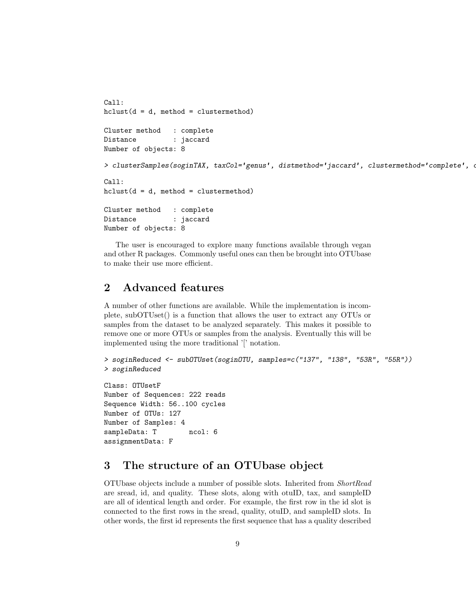```
Call:
hclust(d = d, method = clustermethod)Cluster method : complete
Distance : jaccard
Number of objects: 8
> clusterSamples(soginTAX, taxCol='genus', distmethod='jaccard', clustermethod='complete', o
Call:
hclust(d = d, method = clustermethod)Cluster method : complete
Distance : jaccard
Number of objects: 8
```
The user is encouraged to explore many functions available through vegan and other R packages. Commonly useful ones can then be brought into OTUbase to make their use more efficient.

# 2 Advanced features

A number of other functions are available. While the implementation is incomplete, subOTUset() is a function that allows the user to extract any OTUs or samples from the dataset to be analyzed separately. This makes it possible to remove one or more OTUs or samples from the analysis. Eventually this will be implemented using the more traditional '[' notation.

```
> soginReduced <- subOTUset(soginOTU, samples=c("137", "138", "53R", "55R"))
> soginReduced
```
Class: OTUsetF Number of Sequences: 222 reads Sequence Width: 56..100 cycles Number of OTUs: 127 Number of Samples: 4 sampleData: T ncol: 6 assignmentData: F

# 3 The structure of an OTUbase object

OTUbase objects include a number of possible slots. Inherited from ShortRead are sread, id, and quality. These slots, along with otuID, tax, and sampleID are all of identical length and order. For example, the first row in the id slot is connected to the first rows in the sread, quality, otuID, and sampleID slots. In other words, the first id represents the first sequence that has a quality described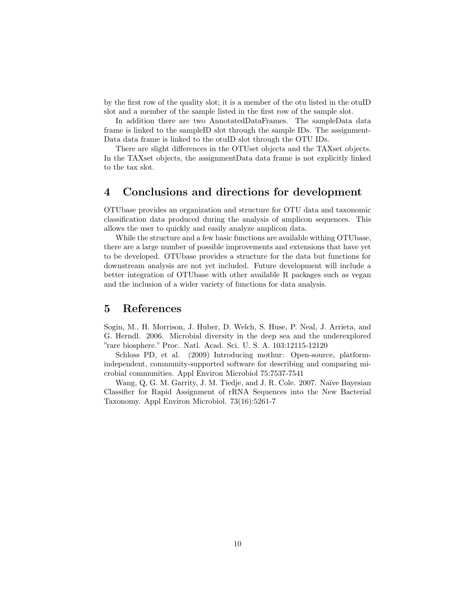by the first row of the quality slot; it is a member of the otu listed in the otuID slot and a member of the sample listed in the first row of the sample slot.

In addition there are two AnnotatedDataFrames. The sampleData data frame is linked to the sampleID slot through the sample IDs. The assignment-Data data frame is linked to the otuID slot through the OTU IDs.

There are slight differences in the OTUset objects and the TAXset objects. In the TAXset objects, the assignmentData data frame is not explicitly linked to the tax slot.

## 4 Conclusions and directions for development

OTUbase provides an organization and structure for OTU data and taxonomic classification data produced during the analysis of amplicon sequences. This allows the user to quickly and easily analyze amplicon data.

While the structure and a few basic functions are available withing OTUbase, there are a large number of possible improvements and extensions that have yet to be developed. OTUbase provides a structure for the data but functions for downstream analysis are not yet included. Future development will include a better integration of OTUbase with other available R packages such as vegan and the inclusion of a wider variety of functions for data analysis.

## 5 References

Sogin, M., H. Morrison, J. Huber, D. Welch, S. Huse, P. Neal, J. Arrieta, and G. Herndl. 2006. Microbial diversity in the deep sea and the underexplored "rare biosphere." Proc. Natl. Acad. Sci. U. S. A. 103:12115-12120

Schloss PD, et al. (2009) Introducing mothur: Open-source, platformindependent, community-supported software for describing and comparing microbial communities. Appl Environ Microbiol 75:7537-7541

Wang, Q, G. M. Garrity, J. M. Tiedje, and J. R. Cole. 2007. Naïve Bayesian Classifier for Rapid Assignment of rRNA Sequences into the New Bacterial Taxonomy. Appl Environ Microbiol. 73(16):5261-7